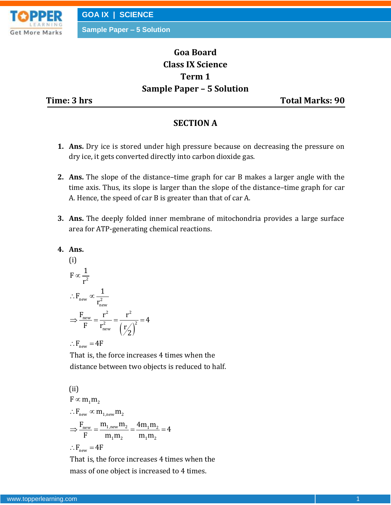

**Sample Paper – 5 Solution**

# **Goa Board Class IX Science Term 1 Sample Paper – 5 Solution**

**Time: 3 hrs** Total Marks: 90

# **SECTION A**

- **1. Ans.** Dry ice is stored under high pressure because on decreasing the pressure on dry ice, it gets converted directly into carbon dioxide gas.
- **2. Ans.** The slope of the distance–time graph for car B makes a larger angle with the time axis. Thus, its slope is larger than the slope of the distance–time graph for car A. Hence, the speed of car B is greater than that of car A.
- **3. Ans.** The deeply folded inner membrane of mitochondria provides a large surface area for ATP-generating chemical reactions.
- **4. Ans.**

(i)  
\n
$$
F \propto \frac{1}{r^2}
$$
\n
$$
\therefore F_{new} \propto \frac{1}{r_{new}^2}
$$
\n
$$
\Rightarrow \frac{F_{new}}{F} = \frac{r^2}{r_{new}^2} = \frac{r^2}{(r/2)^2} = 4
$$
\n
$$
\therefore F_{new} = 4F
$$

That is, the force increases 4 times when the distance between two objects is reduced to half.

(ii)  
\n
$$
F \propto m_1 m_2
$$
\n
$$
\therefore F_{new} \propto m_{1,new} m_2
$$
\n
$$
\Rightarrow \frac{F_{new}}{F} = \frac{m_{1,new} m_2}{m_1 m_2} = \frac{4m_1 m_2}{m_1 m_2} = 4
$$
\n
$$
\therefore F_{new} = 4F
$$

That is, the force increases 4 times when the mass of one object is increased to 4 times.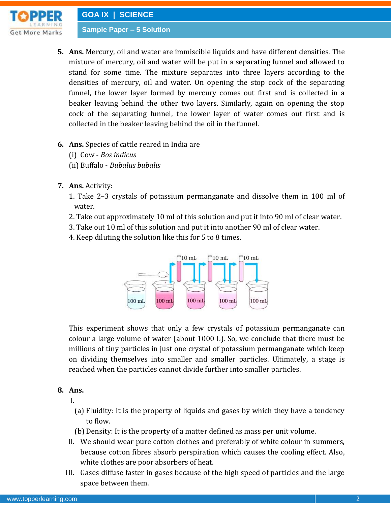

- **5. Ans.** Mercury, oil and water are immiscible liquids and have different densities. The mixture of mercury, oil and water will be put in a separating funnel and allowed to stand for some time. The mixture separates into three layers according to the densities of mercury, oil and water. On opening the stop cock of the separating funnel, the lower layer formed by mercury comes out first and is collected in a beaker leaving behind the other two layers. Similarly, again on opening the stop cock of the separating funnel, the lower layer of water comes out first and is collected in the beaker leaving behind the oil in the funnel.
- **6. Ans.** Species of cattle reared in India are
	- (i) Cow *Bos indicus*
	- (ii) Buffalo *Bubalus bubalis*
- **7. Ans.** Activity:
	- 1. Take 2–3 crystals of potassium permanganate and dissolve them in 100 ml of water.
	- 2. Take out approximately 10 ml of this solution and put it into 90 ml of clear water.
	- 3. Take out 10 ml of this solution and put it into another 90 ml of clear water.
	- 4. Keep diluting the solution like this for 5 to 8 times.



This experiment shows that only a few crystals of potassium permanganate can colour a large volume of water (about 1000 L). So, we conclude that there must be millions of tiny particles in just one crystal of potassium permanganate which keep on dividing themselves into smaller and smaller particles. Ultimately, a stage is reached when the particles cannot divide further into smaller particles.

# **8. Ans.**

I.

- (a) Fluidity: It is the property of liquids and gases by which they have a tendency to flow.
- (b) Density: It is the property of a matter defined as mass per unit volume.
- II. We should wear pure cotton clothes and preferably of white colour in summers, because cotton fibres absorb perspiration which causes the cooling effect. Also, white clothes are poor absorbers of heat.
- III. Gases diffuse faster in gases because of the high speed of particles and the large space between them.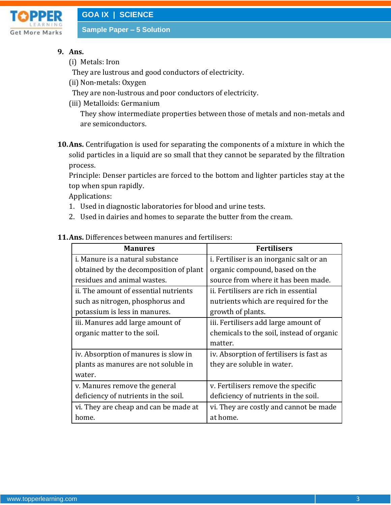

## **9. Ans.**

(i) Metals: Iron

They are lustrous and good conductors of electricity.

- (ii) Non-metals: Oxygen
- They are non-lustrous and poor conductors of electricity.
- (iii) Metalloids: Germanium

They show intermediate properties between those of metals and non-metals and are semiconductors.

**10.Ans.** Centrifugation is used for separating the components of a mixture in which the solid particles in a liquid are so small that they cannot be separated by the filtration process.

Principle: Denser particles are forced to the bottom and lighter particles stay at the top when spun rapidly.

Applications:

- 1. Used in diagnostic laboratories for blood and urine tests.
- 2. Used in dairies and homes to separate the butter from the cream.

| <b>Manures</b>                          | <b>Fertilisers</b>                        |
|-----------------------------------------|-------------------------------------------|
| <i>i.</i> Manure is a natural substance | i. Fertiliser is an inorganic salt or an  |
| obtained by the decomposition of plant  | organic compound, based on the            |
| residues and animal wastes.             | source from where it has been made.       |
| ii. The amount of essential nutrients   | ii. Fertilisers are rich in essential     |
| such as nitrogen, phosphorus and        | nutrients which are required for the      |
| potassium is less in manures.           | growth of plants.                         |
| iii. Manures add large amount of        | iii. Fertilisers add large amount of      |
| organic matter to the soil.             | chemicals to the soil, instead of organic |
|                                         | matter.                                   |
| iv. Absorption of manures is slow in    | iv. Absorption of fertilisers is fast as  |
| plants as manures are not soluble in    | they are soluble in water.                |
| water.                                  |                                           |
| v. Manures remove the general           | v. Fertilisers remove the specific        |
| deficiency of nutrients in the soil.    | deficiency of nutrients in the soil.      |
| vi. They are cheap and can be made at   | vi. They are costly and cannot be made    |
| home.                                   | at home.                                  |

#### **11.Ans.** Differences between manures and fertilisers: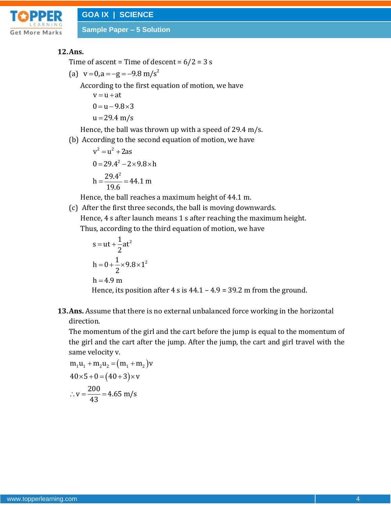

**Sample Paper – 5 Solution**

#### **12.Ans.**

Time of ascent = Time of descent =  $6/2 = 3$  s

(a)  $v = 0$ ,  $a = -g = -9.8$  m/s<sup>2</sup>

According to the first equation of motion, we have

 $v = u + at$  $0 = u - 9.8 \times 3$  $u = 29.4$  m/s

Hence, the ball was thrown up with a speed of 29.4 m/s.

(b) According to the second equation of motion, we have

$$
v2 = u2 + 2as
$$
  
0 = 29.4<sup>2</sup> – 2×9.8×h  
h =  $\frac{29.4^2}{19.6}$  = 44.1 m

Hence, the ball reaches a maximum height of 44.1 m.

(c) After the first three seconds, the ball is moving downwards. Hence, 4 s after launch means 1 s after reaching the maximum height. Thus, according to the third equation of motion, we have

$$
s = ut + \frac{1}{2}at^{2}
$$
  
h = 0 +  $\frac{1}{2}$  × 9.8 × 1<sup>2</sup>  
h = 4.9 m  
Hence, its position after 4 s is 44.1 – 4.9 = 39.2 m from the ground.

**13.Ans.** Assume that there is no external unbalanced force working in the horizontal direction.

The momentum of the girl and the cart before the jump is equal to the momentum of the girl and the cart after the jump. After the jump, the cart and girl travel with the same velocity v.

$$
m_1u_1 + m_2u_2 = (m_1 + m_2)v
$$
  
40×5+0=(40+3)×v  
∴ v =  $\frac{200}{43}$  = 4.65 m/s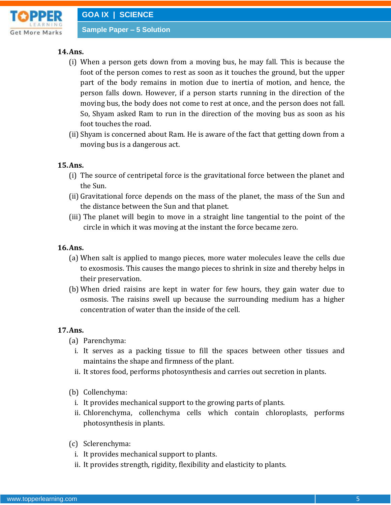

**Sample Paper – 5 Solution**

### **14.Ans.**

- (i) When a person gets down from a moving bus, he may fall. This is because the foot of the person comes to rest as soon as it touches the ground, but the upper part of the body remains in motion due to inertia of motion, and hence, the person falls down. However, if a person starts running in the direction of the moving bus, the body does not come to rest at once, and the person does not fall. So, Shyam asked Ram to run in the direction of the moving bus as soon as his foot touches the road.
- (ii)Shyam is concerned about Ram. He is aware of the fact that getting down from a moving bus is a dangerous act.

#### **15.Ans.**

- (i) The source of centripetal force is the gravitational force between the planet and the Sun.
- (ii) Gravitational force depends on the mass of the planet, the mass of the Sun and the distance between the Sun and that planet.
- (iii) The planet will begin to move in a straight line tangential to the point of the circle in which it was moving at the instant the force became zero.

#### **16.Ans.**

- (a) When salt is applied to mango pieces, more water molecules leave the cells due to exosmosis. This causes the mango pieces to shrink in size and thereby helps in their preservation.
- (b) When dried raisins are kept in water for few hours, they gain water due to osmosis. The raisins swell up because the surrounding medium has a higher concentration of water than the inside of the cell.

#### **17.Ans.**

- (a) Parenchyma:
	- i. It serves as a packing tissue to fill the spaces between other tissues and maintains the shape and firmness of the plant.
	- ii. It stores food, performs photosynthesis and carries out secretion in plants.
- (b) Collenchyma:
	- i. It provides mechanical support to the growing parts of plants.
	- ii. Chlorenchyma, collenchyma cells which contain chloroplasts, performs photosynthesis in plants.
- (c) Sclerenchyma:
	- i. It provides mechanical support to plants.
	- ii. It provides strength, rigidity, flexibility and elasticity to plants.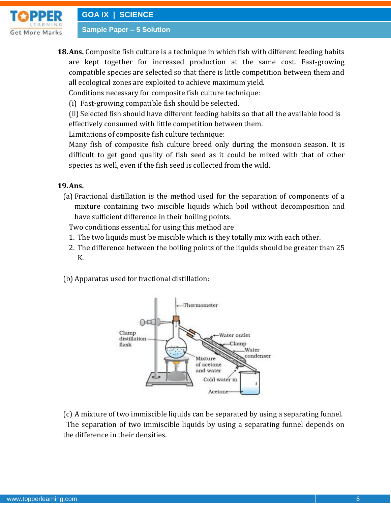

**Sample Paper – 5 Solution**

**18.Ans.** Composite fish culture is a technique in which fish with different feeding habits are kept together for increased production at the same cost. Fast-growing compatible species are selected so that there is little competition between them and all ecological zones are exploited to achieve maximum yield.

Conditions necessary for composite fish culture technique:

(i) Fast-growing compatible fish should be selected.

(ii) Selected fish should have different feeding habits so that all the available food is effectively consumed with little competition between them.

Limitations of composite fish culture technique:

Many fish of composite fish culture breed only during the monsoon season. It is difficult to get good quality of fish seed as it could be mixed with that of other species as well, even if the fish seed is collected from the wild.

**19.Ans.** 

(a) Fractional distillation is the method used for the separation of components of a mixture containing two miscible liquids which boil without decomposition and have sufficient difference in their boiling points.

Two conditions essential for using this method are

- 1. The two liquids must be miscible which is they totally mix with each other.
- 2. The difference between the boiling points of the liquids should be greater than 25 K.
- (b) Apparatus used for fractional distillation:



(c) A mixture of two immiscible liquids can be separated by using a separating funnel. The separation of two immiscible liquids by using a separating funnel depends on the difference in their densities.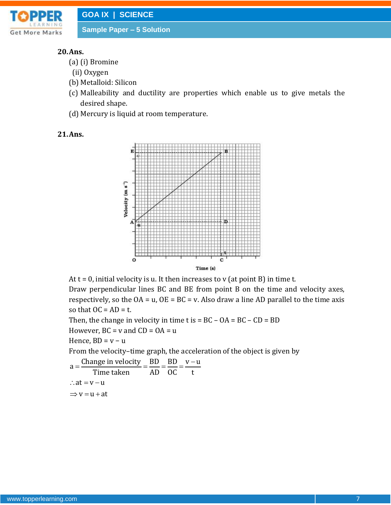

**Sample Paper – 5 Solution**

#### **20.Ans.**

- (a) (i) Bromine
- (ii) Oxygen
- (b) Metalloid: Silicon
- (c) Malleability and ductility are properties which enable us to give metals the desired shape.
- (d) Mercury is liquid at room temperature.

#### **21.Ans.**



At  $t = 0$ , initial velocity is u. It then increases to v (at point B) in time t.

Draw perpendicular lines BC and BE from point B on the time and velocity axes, respectively, so the  $OA = u$ ,  $OE = BC = v$ . Also draw a line AD parallel to the time axis so that  $OC = AD = t$ .

Then, the change in velocity in time  $t$  is  $= BC - OA = BC - CD = BD$ However,  $BC = v$  and  $CD = OA = u$ 

Hence,  $BD = v - u$ 

From the velocity-time graph, the acceleration of the object is given by  
\n
$$
a = \frac{\text{Change in velocity}}{\text{Time taken}} = \frac{BD}{AD} = \frac{BD}{OC} = \frac{v - u}{t}
$$
\n
$$
\therefore at = v - u
$$
\n
$$
\Rightarrow v = u + at
$$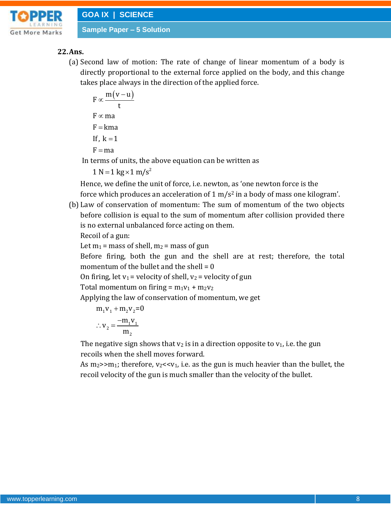

#### **22.Ans.**

(a) Second law of motion: The rate of change of linear momentum of a body is directly proportional to the external force applied on the body, and this change takes place always in the direction of the applied force.

$$
F \propto \frac{m(v-u)}{t}
$$
  
F \propto ma  
F = kma  
If, k = 1  
F = ma

In terms of units, the above equation can be written as

 $1 N = 1 kg \times 1 m/s^2$ 

Hence, we define the unit of force, i.e. newton, as 'one newton force is the force which produces an acceleration of  $1 \text{ m/s}^2$  in a body of mass one kilogram'.

(b) Law of conservation of momentum: The sum of momentum of the two objects before collision is equal to the sum of momentum after collision provided there is no external unbalanced force acting on them.

Recoil of a gun:

Let  $m_1$  = mass of shell,  $m_2$  = mass of gun

Before firing, both the gun and the shell are at rest; therefore, the total momentum of the bullet and the shell  $= 0$ 

On firing, let  $v_1$  = velocity of shell,  $v_2$  = velocity of gun

Total momentum on firing =  $m_1v_1 + m_2v_2$ 

Applying the law of conservation of momentum, we get

$$
m_1v_1 + m_2v_2 = 0
$$
  

$$
\therefore v_2 = \frac{-m_1v_1}{m_2}
$$

The negative sign shows that  $v_2$  is in a direction opposite to  $v_1$ , i.e. the gun recoils when the shell moves forward.

As  $m_2$ > $m_1$ ; therefore,  $v_2$ < $v_1$ , i.e. as the gun is much heavier than the bullet, the recoil velocity of the gun is much smaller than the velocity of the bullet.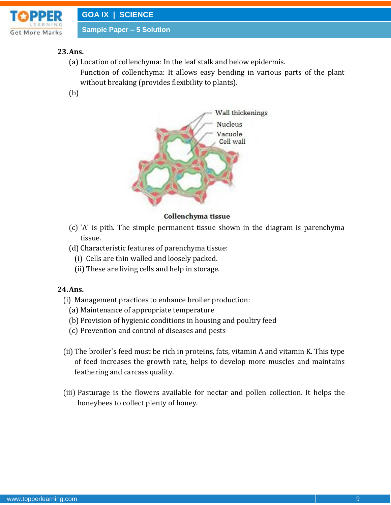

# **23.Ans.**

- (a) Location of collenchyma: In the leaf stalk and below epidermis.
	- Function of collenchyma: It allows easy bending in various parts of the plant without breaking (provides flexibility to plants).
- (b)



#### Collenchyma tissue

- (c) 'A' is pith. The simple permanent tissue shown in the diagram is parenchyma tissue.
- (d) Characteristic features of parenchyma tissue:
	- (i) Cells are thin walled and loosely packed.
	- (ii) These are living cells and help in storage.

#### **24.Ans.**

- (i) Management practices to enhance broiler production:
	- (a) Maintenance of appropriate temperature
	- (b) Provision of hygienic conditions in housing and poultry feed
	- (c) Prevention and control of diseases and pests
- (ii) The broiler's feed must be rich in proteins, fats, vitamin A and vitamin K. This type of feed increases the growth rate, helps to develop more muscles and maintains feathering and carcass quality.
- (iii) Pasturage is the flowers available for nectar and pollen collection. It helps the honeybees to collect plenty of honey.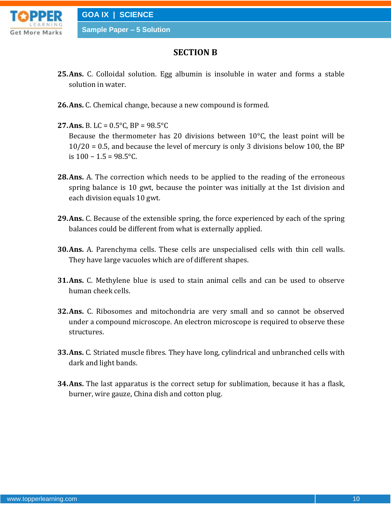

# **SECTION B**

- **25.Ans.** C. Colloidal solution. Egg albumin is insoluble in water and forms a stable solution in water.
- **26.Ans.** C. Chemical change, because a new compound is formed.
- **27.Ans.** B. LC =  $0.5^{\circ}$ C, BP =  $98.5^{\circ}$ C Because the thermometer has 20 divisions between 10°C, the least point will be 10/20 = 0.5, and because the level of mercury is only 3 divisions below 100, the BP is  $100 - 1.5 = 98.5$ °C.
- **28.Ans.** A. The correction which needs to be applied to the reading of the erroneous spring balance is 10 gwt, because the pointer was initially at the 1st division and each division equals 10 gwt.
- **29.Ans.** C. Because of the extensible spring, the force experienced by each of the spring balances could be different from what is externally applied.
- **30.Ans.** A. Parenchyma cells. These cells are unspecialised cells with thin cell walls. They have large vacuoles which are of different shapes.
- **31.Ans.** C. Methylene blue is used to stain animal cells and can be used to observe human cheek cells.
- **32.Ans.** C. Ribosomes and mitochondria are very small and so cannot be observed under a compound microscope. An electron microscope is required to observe these structures.
- **33.Ans.** C. Striated muscle fibres. They have long, cylindrical and unbranched cells with dark and light bands.
- **34.Ans.** The last apparatus is the correct setup for sublimation, because it has a flask, burner, wire gauze, China dish and cotton plug.